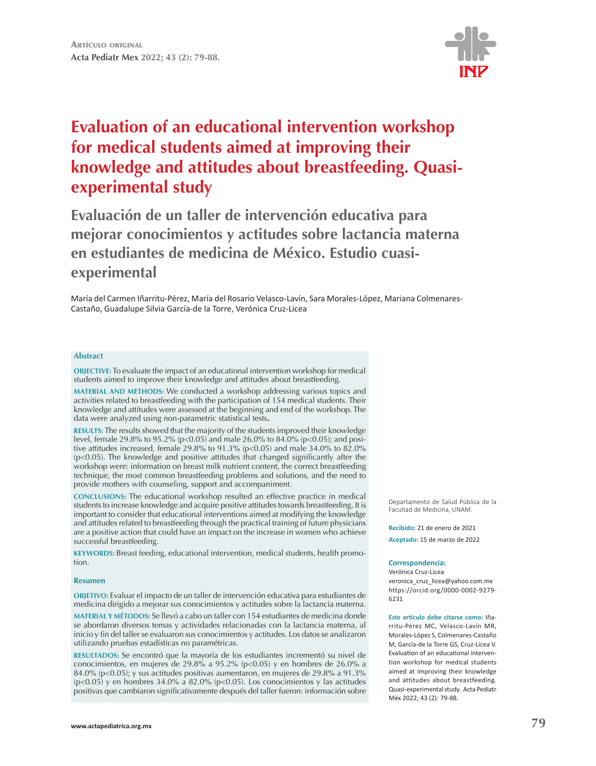

# **Evaluation of an educational intervention workshop for medical students aimed at improving their knowledge and attitudes about breastfeeding. Quasiexperimental study**

**Evaluación de un taller de intervención educativa para mejorar conocimientos y actitudes sobre lactancia materna en estudiantes de medicina de México. Estudio cuasiexperimental**

María del Carmen Iñarritu-Pérez, María del Rosario Velasco-Lavín, Sara Morales-López, Mariana Colmenares-Castaño, Guadalupe Silvia García-de la Torre, Verónica Cruz-Licea

#### **Abstract**

**OBJECTIVE:** To evaluate the impact of an educational intervention workshop for medical students aimed to improve their knowledge and attitudes about breastfeeding.

**MATERIAL AND METHODS:** We conducted a workshop addressing various topics and activities related to breastfeeding with the participation of 154 medical students. Their knowledge and attitudes were assessed at the beginning and end of the workshop. The data were analyzed using non-parametric statistical tests**.** 

**RESULTS:** The results showed that the majority of the students improved their knowledge level, female 29.8% to 95.2% (p<0.05) and male 26.0% to 84.0% (p<0.05); and positive attitudes increased, female 29.8% to 91.3% (p<0.05) and male 34.0% to 82.0% (p<0.05). The knowledge and positive attitudes that changed significantly after the workshop were: information on breast milk nutrient content, the correct breastfeeding technique, the most common breastfeeding problems and solutions, and the need to provide mothers with counseling, support and accompaniment.

**CONCLUSIONS:** The educational workshop resulted an effective practice in medical students to increase knowledge and acquire positive attitudes towards breastfeeding. It is important to consider that educational interventions aimed at modifying the knowledge and attitudes related to breastfeeding through the practical training of future physicians are a positive action that could have an impact on the increase in women who achieve successful breastfeeding.

**KEYWORDS:** Breast feeding, educational intervention, medical students, health promotion.

#### **Resumen**

**OBJETIVO:** Evaluar el impacto de un taller de intervención educativa para estudiantes de medicina dirigido a mejorar sus conocimientos y actitudes sobre la lactancia materna.

**MATERIAL Y MÉTODOS:** Se llevó a cabo un taller con 154 estudiantes de medicina donde se abordaron diversos temas y actividades relacionadas con la lactancia materna, al inicio y fin del taller se evaluaron sus conocimientos y actitudes. Los datos se analizaron utilizando pruebas estadísticas no paramétricas.

**RESULTADOS:** Se encontró que la mayoría de los estudiantes incrementó su nivel de conocimientos, en mujeres de 29.8% a 95.2% (p<0.05) y en hombres de 26.0% a 84.0% (p<0.05); y sus actitudes positivas aumentaron, en mujeres de 29.8% a 91.3% (p<0.05) y en hombres 34.0% a 82.0% (p<0.05). Los conocimientos y las actitudes positivas que cambiaron significativamente después del taller fueron: información sobre Departamento de Salud Pública de la Facultad de Medicina, UNAM.

**Recibido:** 21 de enero de 2021 **Aceptado:** 15 de marzo de 2022

#### **Correspondencia:**

Verónica Cruz-Licea

veronica\_cruz\_licea@yahoo.com.mx https://orcid.org/0000-0002-9279- 6231

**Este artículo debe citarse como:** Iñarritu-Pérez MC, Velasco-Lavín MR, Morales-López S, Colmenares-Castaño M, García-de la Torre GS, Cruz-Licea V. Evaluation of an educational intervention workshop for medical students aimed at improving their knowledge and attitudes about breastfeeding. Quasi-experimental study. Acta Pediatr Méx 2022; 43 (2): 79-88.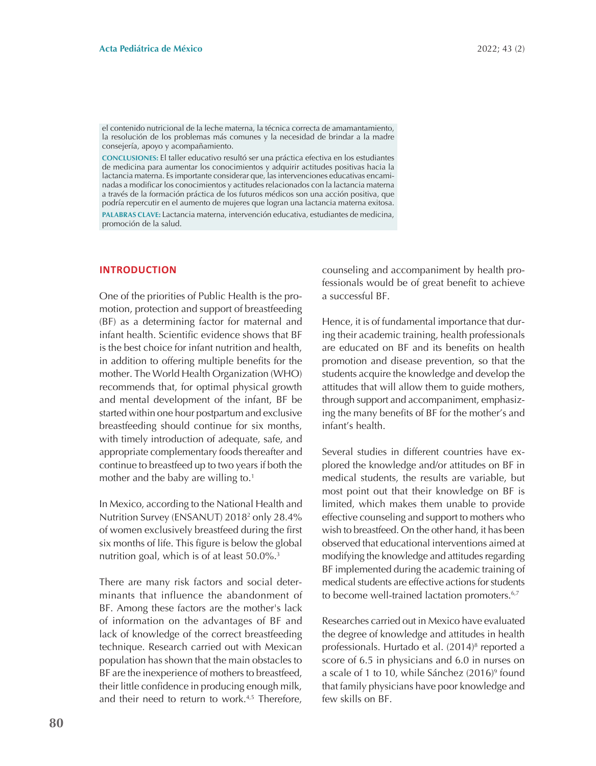el contenido nutricional de la leche materna, la técnica correcta de amamantamiento, la resolución de los problemas más comunes y la necesidad de brindar a la madre consejería, apoyo y acompañamiento.

**CONCLUSIONES:** El taller educativo resultó ser una práctica efectiva en los estudiantes de medicina para aumentar los conocimientos y adquirir actitudes positivas hacia la lactancia materna. Es importante considerar que, las intervenciones educativas encaminadas a modificar los conocimientos y actitudes relacionados con la lactancia materna a través de la formación práctica de los futuros médicos son una acción positiva, que podría repercutir en el aumento de mujeres que logran una lactancia materna exitosa.

**PALABRAS CLAVE:** Lactancia materna, intervención educativa, estudiantes de medicina, promoción de la salud.

# **INTRODUCTION**

One of the priorities of Public Health is the promotion, protection and support of breastfeeding (BF) as a determining factor for maternal and infant health. Scientific evidence shows that BF is the best choice for infant nutrition and health, in addition to offering multiple benefits for the mother. The World Health Organization (WHO) recommends that, for optimal physical growth and mental development of the infant, BF be started within one hour postpartum and exclusive breastfeeding should continue for six months, with timely introduction of adequate, safe, and appropriate complementary foods thereafter and continue to breastfeed up to two years if both the mother and the baby are willing to.<sup>1</sup>

In Mexico, according to the National Health and Nutrition Survey (ENSANUT) 2018<sup>2</sup> only 28.4% of women exclusively breastfeed during the first six months of life. This figure is below the global nutrition goal, which is of at least 50.0%.<sup>3</sup>

There are many risk factors and social determinants that influence the abandonment of BF. Among these factors are the mother's lack of information on the advantages of BF and lack of knowledge of the correct breastfeeding technique. Research carried out with Mexican population has shown that the main obstacles to BF are the inexperience of mothers to breastfeed, their little confidence in producing enough milk, and their need to return to work.<sup>4,5</sup> Therefore,

counseling and accompaniment by health professionals would be of great benefit to achieve a successful BF.

Hence, it is of fundamental importance that during their academic training, health professionals are educated on BF and its benefits on health promotion and disease prevention, so that the students acquire the knowledge and develop the attitudes that will allow them to guide mothers, through support and accompaniment, emphasizing the many benefits of BF for the mother's and infant's health.

Several studies in different countries have explored the knowledge and/or attitudes on BF in medical students, the results are variable, but most point out that their knowledge on BF is limited, which makes them unable to provide effective counseling and support to mothers who wish to breastfeed. On the other hand, it has been observed that educational interventions aimed at modifying the knowledge and attitudes regarding BF implemented during the academic training of medical students are effective actions for students to become well-trained lactation promoters.<sup>6,7</sup>

Researches carried out in Mexico have evaluated the degree of knowledge and attitudes in health professionals. Hurtado et al. (2014)8 reported a score of 6.5 in physicians and 6.0 in nurses on a scale of 1 to 10, while Sánchez (2016)<sup>9</sup> found that family physicians have poor knowledge and few skills on BF.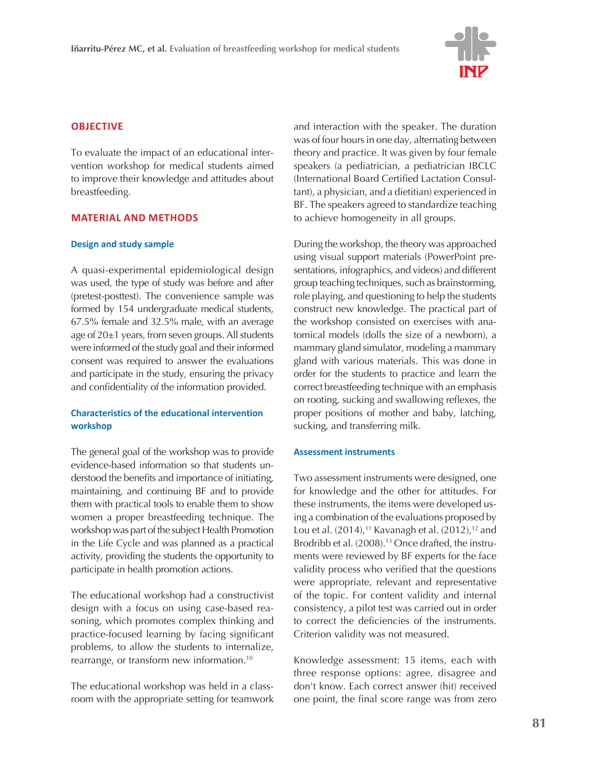

# **OBJECTIVE**

To evaluate the impact of an educational intervention workshop for medical students aimed to improve their knowledge and attitudes about breastfeeding.

# **MATERIAL AND METHODS**

### **Design and study sample**

A quasi-experimental epidemiological design was used, the type of study was before and after (pretest-posttest). The convenience sample was formed by 154 undergraduate medical students, 67.5% female and 32.5% male, with an average age of 20±1 years, from seven groups. All students were informed of the study goal and their informed consent was required to answer the evaluations and participate in the study, ensuring the privacy and confidentiality of the information provided.

# **Characteristics of the educational intervention workshop**

The general goal of the workshop was to provide evidence-based information so that students understood the benefits and importance of initiating, maintaining, and continuing BF and to provide them with practical tools to enable them to show women a proper breastfeeding technique. The workshop was part of the subject Health Promotion in the Life Cycle and was planned as a practical activity, providing the students the opportunity to participate in health promotion actions.

The educational workshop had a constructivist design with a focus on using case-based reasoning, which promotes complex thinking and practice-focused learning by facing significant problems, to allow the students to internalize, rearrange, or transform new information.10

The educational workshop was held in a classroom with the appropriate setting for teamwork

and interaction with the speaker. The duration was of four hours in one day, alternating between theory and practice. It was given by four female speakers (a pediatrician, a pediatrician IBCLC (International Board Certified Lactation Consultant), a physician, and a dietitian) experienced in BF. The speakers agreed to standardize teaching to achieve homogeneity in all groups.

During the workshop, the theory was approached using visual support materials (PowerPoint presentations, infographics, and videos) and different group teaching techniques, such as brainstorming, role playing, and questioning to help the students construct new knowledge. The practical part of the workshop consisted on exercises with anatomical models (dolls the size of a newborn), a mammary gland simulator, modeling a mammary gland with various materials. This was done in order for the students to practice and learn the correct breastfeeding technique with an emphasis on rooting, sucking and swallowing reflexes, the proper positions of mother and baby, latching, sucking, and transferring milk.

### **Assessment instruments**

Two assessment instruments were designed, one for knowledge and the other for attitudes. For these instruments, the items were developed using a combination of the evaluations proposed by Lou et al. (2014),<sup>11</sup> Kavanagh et al. (2012),<sup>12</sup> and Brodribb et al. (2008).<sup>13</sup> Once drafted, the instruments were reviewed by BF experts for the face validity process who verified that the questions were appropriate, relevant and representative of the topic. For content validity and internal consistency, a pilot test was carried out in order to correct the deficiencies of the instruments. Criterion validity was not measured.

Knowledge assessment: 15 items, each with three response options: agree, disagree and don't know. Each correct answer (hit) received one point, the final score range was from zero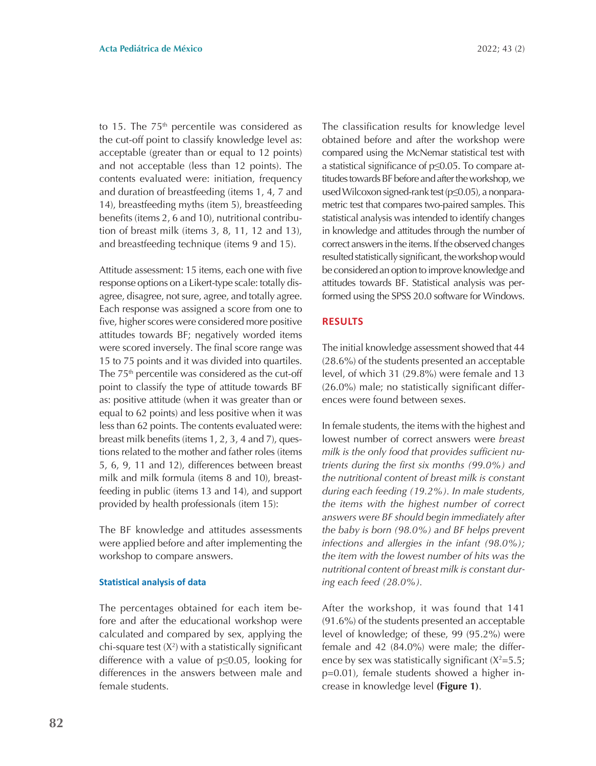to 15. The  $75<sup>th</sup>$  percentile was considered as the cut-off point to classify knowledge level as: acceptable (greater than or equal to 12 points) and not acceptable (less than 12 points). The contents evaluated were: initiation, frequency and duration of breastfeeding (items 1, 4, 7 and 14), breastfeeding myths (item 5), breastfeeding benefits (items 2, 6 and 10), nutritional contribution of breast milk (items 3, 8, 11, 12 and 13), and breastfeeding technique (items 9 and 15).

Attitude assessment: 15 items, each one with five response options on a Likert-type scale: totally disagree, disagree, not sure, agree, and totally agree. Each response was assigned a score from one to five, higher scores were considered more positive attitudes towards BF; negatively worded items were scored inversely. The final score range was 15 to 75 points and it was divided into quartiles. The 75<sup>th</sup> percentile was considered as the cut-off point to classify the type of attitude towards BF as: positive attitude (when it was greater than or equal to 62 points) and less positive when it was less than 62 points. The contents evaluated were: breast milk benefits (items 1, 2, 3, 4 and 7), questions related to the mother and father roles (items 5, 6, 9, 11 and 12), differences between breast milk and milk formula (items 8 and 10), breastfeeding in public (items 13 and 14), and support provided by health professionals (item 15):

The BF knowledge and attitudes assessments were applied before and after implementing the workshop to compare answers.

#### **Statistical analysis of data**

The percentages obtained for each item before and after the educational workshop were calculated and compared by sex, applying the  $chi$ -square test  $(X^2)$  with a statistically significant difference with a value of p≤0.05, looking for differences in the answers between male and female students.

The classification results for knowledge level obtained before and after the workshop were compared using the McNemar statistical test with a statistical significance of p≤0.05. To compare attitudes towards BF before and after the workshop, we used Wilcoxon signed-rank test (p≤0.05), a nonparametric test that compares two-paired samples. This statistical analysis was intended to identify changes in knowledge and attitudes through the number of correct answers in the items. If the observed changes resulted statistically significant, the workshop would be considered an option to improve knowledge and attitudes towards BF. Statistical analysis was performed using the SPSS 20.0 software for Windows.

# **RESULTS**

The initial knowledge assessment showed that 44 (28.6%) of the students presented an acceptable level, of which 31 (29.8%) were female and 13 (26.0%) male; no statistically significant differences were found between sexes.

In female students, the items with the highest and lowest number of correct answers were *breast milk is the only food that provides sufficient nutrients during the first six months (99.0%) and the nutritional content of breast milk is constant during each feeding (19.2%). In male students, the items with the highest number of correct answers were BF should begin immediately after the baby is born (98.0%) and BF helps prevent infections and allergies in the infant (98.0%); the item with the lowest number of hits was the nutritional content of breast milk is constant during each feed (28.0%).*

After the workshop, it was found that 141 (91.6%) of the students presented an acceptable level of knowledge; of these, 99 (95.2%) were female and 42 (84.0%) were male; the difference by sex was statistically significant  $(X^2=5.5;$ p=0.01), female students showed a higher increase in knowledge level **(Figure 1)**.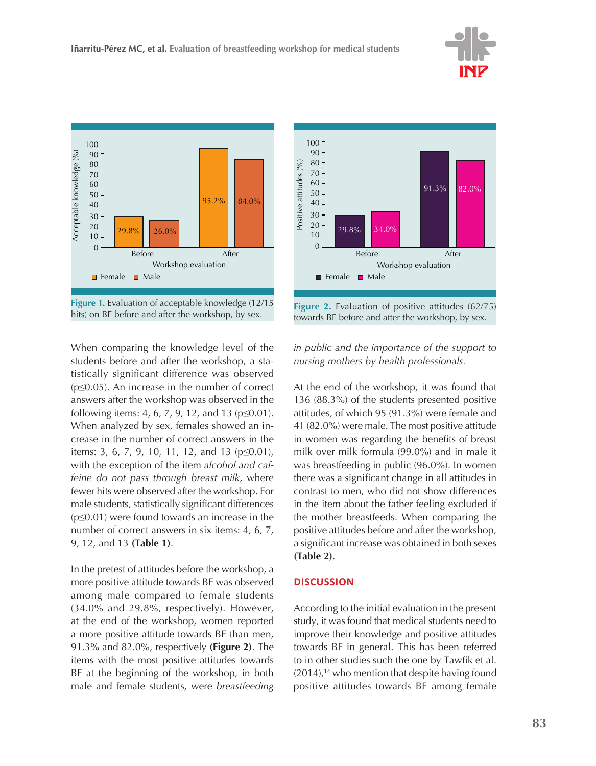



When comparing the knowledge level of the students before and after the workshop, a statistically significant difference was observed (p≤0.05). An increase in the number of correct answers after the workshop was observed in the following items: 4, 6, 7, 9, 12, and 13 (p≤0.01). When analyzed by sex, females showed an increase in the number of correct answers in the items: 3, 6, 7, 9, 10, 11, 12, and 13 (p≤0.01), with the exception of the item *alcohol and caffeine do not pass through breast milk,* where fewer hits were observed after the workshop. For male students, statistically significant differences  $(p \le 0.01)$  were found towards an increase in the number of correct answers in six items: 4, 6, 7, 9, 12, and 13 **(Table 1)**.

In the pretest of attitudes before the workshop, a more positive attitude towards BF was observed among male compared to female students (34.0% and 29.8%, respectively). However, at the end of the workshop, women reported a more positive attitude towards BF than men, 91.3% and 82.0%, respectively **(Figure 2)**. The items with the most positive attitudes towards BF at the beginning of the workshop, in both male and female students, were *breastfeeding* 



**Figure 2.** Evaluation of positive attitudes (62/75) towards BF before and after the workshop, by sex.

*in public and the importance of the support to nursing mothers by health professionals.*

At the end of the workshop, it was found that 136 (88.3%) of the students presented positive attitudes, of which 95 (91.3%) were female and 41 (82.0%) were male. The most positive attitude in women was regarding the benefits of breast milk over milk formula (99.0%) and in male it was breastfeeding in public (96.0%). In women there was a significant change in all attitudes in contrast to men, who did not show differences in the item about the father feeling excluded if the mother breastfeeds. When comparing the positive attitudes before and after the workshop, a significant increase was obtained in both sexes **(Table 2)**.

# **DISCUSSION**

According to the initial evaluation in the present study, it was found that medical students need to improve their knowledge and positive attitudes towards BF in general. This has been referred to in other studies such the one by Tawfik et al.  $(2014)$ ,<sup>14</sup> who mention that despite having found positive attitudes towards BF among female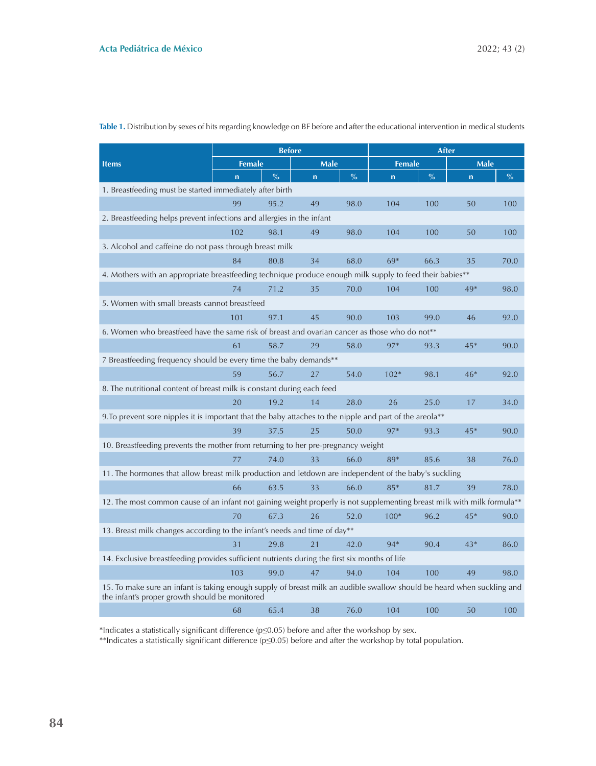| <b>Items</b>                                                                                                                                                             | <b>Before</b> |               |                         |               | After                   |               |             |               |
|--------------------------------------------------------------------------------------------------------------------------------------------------------------------------|---------------|---------------|-------------------------|---------------|-------------------------|---------------|-------------|---------------|
|                                                                                                                                                                          | <b>Female</b> |               | <b>Male</b>             |               | <b>Female</b>           |               | <b>Male</b> |               |
|                                                                                                                                                                          | $\mathbf n$   | $\frac{0}{0}$ | $\overline{\mathsf{n}}$ | $\frac{0}{0}$ | $\overline{\mathsf{n}}$ | $\frac{0}{0}$ | $\mathbf n$ | $\frac{0}{0}$ |
| 1. Breastfeeding must be started immediately after birth                                                                                                                 |               |               |                         |               |                         |               |             |               |
|                                                                                                                                                                          | 99            | 95.2          | 49                      | 98.0          | 104                     | 100           | 50          | 100           |
| 2. Breastfeeding helps prevent infections and allergies in the infant                                                                                                    |               |               |                         |               |                         |               |             |               |
|                                                                                                                                                                          | 102           | 98.1          | 49                      | 98.0          | 104                     | 100           | 50          | 100           |
| 3. Alcohol and caffeine do not pass through breast milk                                                                                                                  |               |               |                         |               |                         |               |             |               |
|                                                                                                                                                                          | 84            | 80.8          | 34                      | 68.0          | 69*                     | 66.3          | 35          | 70.0          |
| 4. Mothers with an appropriate breastfeeding technique produce enough milk supply to feed their babies**                                                                 |               |               |                         |               |                         |               |             |               |
|                                                                                                                                                                          | 74            | 71.2          | 35                      | 70.0          | 104                     | 100           | 49*         | 98.0          |
| 5. Women with small breasts cannot breastfeed                                                                                                                            |               |               |                         |               |                         |               |             |               |
|                                                                                                                                                                          | 101           | 97.1          | 45                      | 90.0          | 103                     | 99.0          | 46          | 92.0          |
| 6. Women who breastfeed have the same risk of breast and ovarian cancer as those who do not <sup>**</sup>                                                                |               |               |                         |               |                         |               |             |               |
|                                                                                                                                                                          | 61            | 58.7          | 29                      | 58.0          | 97*                     | 93.3          | $45*$       | 90.0          |
| 7 Breastfeeding frequency should be every time the baby demands**                                                                                                        |               |               |                         |               |                         |               |             |               |
|                                                                                                                                                                          | 59            | 56.7          | 27                      | 54.0          | $102*$                  | 98.1          | $46*$       | 92.0          |
| 8. The nutritional content of breast milk is constant during each feed                                                                                                   |               |               |                         |               |                         |               |             |               |
|                                                                                                                                                                          | 20            | 19.2          | 14                      | 28.0          | 26                      | 25.0          | 17          | 34.0          |
| 9. To prevent sore nipples it is important that the baby attaches to the nipple and part of the areola**                                                                 |               |               |                         |               |                         |               |             |               |
|                                                                                                                                                                          | 39            | 37.5          | 25                      | 50.0          | 97*                     | 93.3          | $45*$       | 90.0          |
| 10. Breastfeeding prevents the mother from returning to her pre-pregnancy weight                                                                                         |               |               |                         |               |                         |               |             |               |
|                                                                                                                                                                          | 77            | 74.0          | 33                      | 66.0          | 89*                     | 85.6          | 38          | 76.0          |
| 11. The hormones that allow breast milk production and letdown are independent of the baby's suckling                                                                    |               |               |                         |               |                         |               |             |               |
|                                                                                                                                                                          | 66            | 63.5          | 33                      | 66.0          | $85*$                   | 81.7          | 39          | 78.0          |
| 12. The most common cause of an infant not gaining weight properly is not supplementing breast milk with milk formula**                                                  |               |               |                         |               |                         |               |             |               |
|                                                                                                                                                                          | 70            | 67.3          | 26                      | 52.0          | $100*$                  | 96.2          | $45*$       | 90.0          |
| 13. Breast milk changes according to the infant's needs and time of day**                                                                                                |               |               |                         |               |                         |               |             |               |
|                                                                                                                                                                          | 31            | 29.8          | 21                      | 42.0          | 94*                     | 90.4          | $43*$       | 86.0          |
| 14. Exclusive breastfeeding provides sufficient nutrients during the first six months of life                                                                            |               |               |                         |               |                         |               |             |               |
|                                                                                                                                                                          | 103           | 99.0          | 47                      | 94.0          | 104                     | 100           | 49          | 98.0          |
| 15. To make sure an infant is taking enough supply of breast milk an audible swallow should be heard when suckling and<br>the infant's proper growth should be monitored |               |               |                         |               |                         |               |             |               |
|                                                                                                                                                                          | 68            | 65.4          | 38                      | 76.0          | 104                     | 100           | 50          | 100           |

Table 1. Distribution by sexes of hits regarding knowledge on BF before and after the educational intervention in medical students

\*Indicates a statistically significant difference (p≤0.05) before and after the workshop by sex.

\*\*Indicates a statistically significant difference (p≤0.05) before and after the workshop by total population.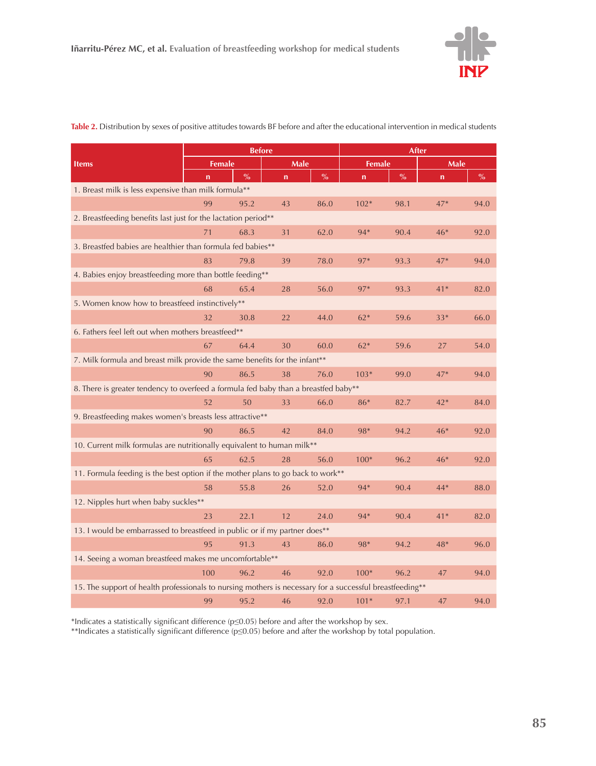

| <b>Items</b>                                                                                             | <b>Before</b> |      |             |      | After         |      |              |      |
|----------------------------------------------------------------------------------------------------------|---------------|------|-------------|------|---------------|------|--------------|------|
|                                                                                                          | <b>Female</b> |      | Male        |      | <b>Female</b> |      | Male         |      |
|                                                                                                          | $\mathbf n$   | $\%$ | $\mathbf n$ | $\%$ | n             | $\%$ | $\mathsf{n}$ | $\%$ |
| 1. Breast milk is less expensive than milk formula**                                                     |               |      |             |      |               |      |              |      |
|                                                                                                          | 99            | 95.2 | 43          | 86.0 | $102*$        | 98.1 | $47*$        | 94.0 |
| 2. Breastfeeding benefits last just for the lactation period**                                           |               |      |             |      |               |      |              |      |
|                                                                                                          | 71            | 68.3 | 31          | 62.0 | $94*$         | 90.4 | $46*$        | 92.0 |
| 3. Breastfed babies are healthier than formula fed babies**                                              |               |      |             |      |               |      |              |      |
|                                                                                                          | 83            | 79.8 | 39          | 78.0 | 97*           | 93.3 | $47*$        | 94.0 |
| 4. Babies enjoy breastfeeding more than bottle feeding**                                                 |               |      |             |      |               |      |              |      |
|                                                                                                          | 68            | 65.4 | 28          | 56.0 | 97*           | 93.3 | $41*$        | 82.0 |
| 5. Women know how to breastfeed instinctively**                                                          |               |      |             |      |               |      |              |      |
|                                                                                                          | 32            | 30.8 | 22          | 44.0 | $62*$         | 59.6 | $33*$        | 66.0 |
| 6. Fathers feel left out when mothers breastfeed**                                                       |               |      |             |      |               |      |              |      |
|                                                                                                          | 67            | 64.4 | 30          | 60.0 | $62*$         | 59.6 | 27           | 54.0 |
| 7. Milk formula and breast milk provide the same benefits for the infant**                               |               |      |             |      |               |      |              |      |
|                                                                                                          | 90            | 86.5 | 38          | 76.0 | $103*$        | 99.0 | $47*$        | 94.0 |
| 8. There is greater tendency to overfeed a formula fed baby than a breastfed baby**                      |               |      |             |      |               |      |              |      |
|                                                                                                          | 52            | 50   | 33          | 66.0 | 86*           | 82.7 | $42*$        | 84.0 |
| 9. Breastfeeding makes women's breasts less attractive**                                                 |               |      |             |      |               |      |              |      |
|                                                                                                          | 90            | 86.5 | 42          | 84.0 | 98*           | 94.2 | $46*$        | 92.0 |
| 10. Current milk formulas are nutritionally equivalent to human milk**                                   |               |      |             |      |               |      |              |      |
|                                                                                                          | 65            | 62.5 | 28          | 56.0 | $100*$        | 96.2 | $46*$        | 92.0 |
| 11. Formula feeding is the best option if the mother plans to go back to work**                          |               |      |             |      |               |      |              |      |
|                                                                                                          | 58            | 55.8 | 26          | 52.0 | $94*$         | 90.4 | 44*          | 88.0 |
| 12. Nipples hurt when baby suckles**                                                                     |               |      |             |      |               |      |              |      |
|                                                                                                          | 23            | 22.1 | 12          | 24.0 | 94*           | 90.4 | $41*$        | 82.0 |
| 13. I would be embarrassed to breastfeed in public or if my partner does**                               |               |      |             |      |               |      |              |      |
|                                                                                                          | 95            | 91.3 | 43          | 86.0 | 98*           | 94.2 | $48*$        | 96.0 |
| 14. Seeing a woman breastfeed makes me uncomfortable**                                                   |               |      |             |      |               |      |              |      |
|                                                                                                          | 100           | 96.2 | 46          | 92.0 | $100*$        | 96.2 | 47           | 94.0 |
| 15. The support of health professionals to nursing mothers is necessary for a successful breastfeeding** |               |      |             |      |               |      |              |      |
|                                                                                                          | 99            | 95.2 | 46          | 92.0 | $101*$        | 97.1 | 47           | 94.0 |

**Table 2.** Distribution by sexes of positive attitudes towards BF before and after the educational intervention in medical students

\*Indicates a statistically significant difference (p≤0.05) before and after the workshop by sex.

\*\*Indicates a statistically significant difference (p≤0.05) before and after the workshop by total population.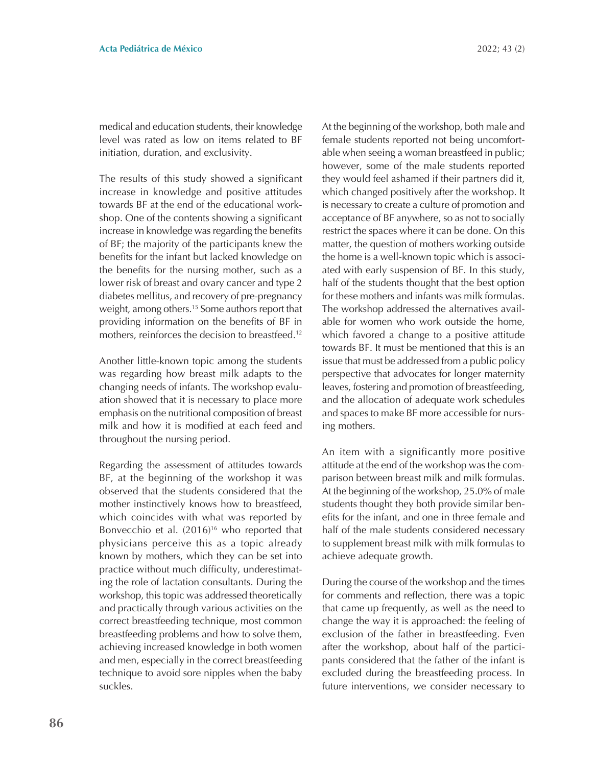medical and education students, their knowledge level was rated as low on items related to BF initiation, duration, and exclusivity.

The results of this study showed a significant increase in knowledge and positive attitudes towards BF at the end of the educational workshop. One of the contents showing a significant increase in knowledge was regarding the benefits of BF; the majority of the participants knew the benefits for the infant but lacked knowledge on the benefits for the nursing mother, such as a lower risk of breast and ovary cancer and type 2 diabetes mellitus, and recovery of pre-pregnancy weight, among others.15 Some authors report that providing information on the benefits of BF in mothers, reinforces the decision to breastfeed.12

Another little-known topic among the students was regarding how breast milk adapts to the changing needs of infants. The workshop evaluation showed that it is necessary to place more emphasis on the nutritional composition of breast milk and how it is modified at each feed and throughout the nursing period.

Regarding the assessment of attitudes towards BF, at the beginning of the workshop it was observed that the students considered that the mother instinctively knows how to breastfeed, which coincides with what was reported by Bonvecchio et al. (2016)<sup>16</sup> who reported that physicians perceive this as a topic already known by mothers, which they can be set into practice without much difficulty, underestimating the role of lactation consultants. During the workshop, this topic was addressed theoretically and practically through various activities on the correct breastfeeding technique, most common breastfeeding problems and how to solve them, achieving increased knowledge in both women and men, especially in the correct breastfeeding technique to avoid sore nipples when the baby suckles.

At the beginning of the workshop, both male and female students reported not being uncomfortable when seeing a woman breastfeed in public; however, some of the male students reported they would feel ashamed if their partners did it, which changed positively after the workshop. It is necessary to create a culture of promotion and acceptance of BF anywhere, so as not to socially restrict the spaces where it can be done. On this matter, the question of mothers working outside the home is a well-known topic which is associated with early suspension of BF. In this study, half of the students thought that the best option for these mothers and infants was milk formulas. The workshop addressed the alternatives available for women who work outside the home, which favored a change to a positive attitude towards BF. It must be mentioned that this is an issue that must be addressed from a public policy perspective that advocates for longer maternity leaves, fostering and promotion of breastfeeding, and the allocation of adequate work schedules and spaces to make BF more accessible for nursing mothers.

An item with a significantly more positive attitude at the end of the workshop was the comparison between breast milk and milk formulas. At the beginning of the workshop, 25.0% of male students thought they both provide similar benefits for the infant, and one in three female and half of the male students considered necessary to supplement breast milk with milk formulas to achieve adequate growth.

During the course of the workshop and the times for comments and reflection, there was a topic that came up frequently, as well as the need to change the way it is approached: the feeling of exclusion of the father in breastfeeding. Even after the workshop, about half of the participants considered that the father of the infant is excluded during the breastfeeding process. In future interventions, we consider necessary to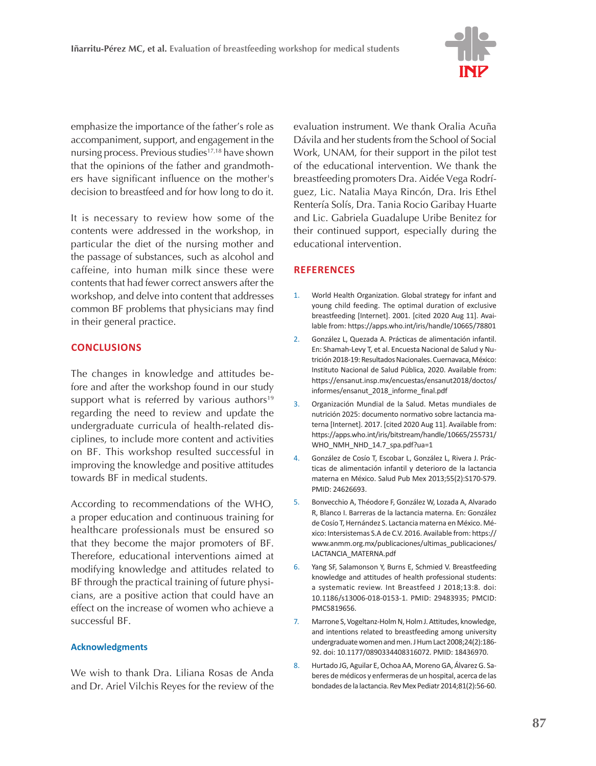

emphasize the importance of the father's role as accompaniment, support, and engagement in the nursing process. Previous studies<sup>17,18</sup> have shown that the opinions of the father and grandmothers have significant influence on the mother's decision to breastfeed and for how long to do it.

It is necessary to review how some of the contents were addressed in the workshop, in particular the diet of the nursing mother and the passage of substances, such as alcohol and caffeine, into human milk since these were contents that had fewer correct answers after the workshop, and delve into content that addresses common BF problems that physicians may find in their general practice.

# **CONCLUSIONS**

The changes in knowledge and attitudes before and after the workshop found in our study support what is referred by various authors<sup>19</sup> regarding the need to review and update the undergraduate curricula of health-related disciplines, to include more content and activities on BF. This workshop resulted successful in improving the knowledge and positive attitudes towards BF in medical students.

According to recommendations of the WHO, a proper education and continuous training for healthcare professionals must be ensured so that they become the major promoters of BF. Therefore, educational interventions aimed at modifying knowledge and attitudes related to BF through the practical training of future physicians, are a positive action that could have an effect on the increase of women who achieve a successful BF.

### **Acknowledgments**

We wish to thank Dra. Liliana Rosas de Anda and Dr. Ariel Vilchis Reyes for the review of the

evaluation instrument. We thank Oralia Acuña Dávila and her students from the School of Social Work, UNAM, for their support in the pilot test of the educational intervention. We thank the breastfeeding promoters Dra. Aidée Vega Rodríguez, Lic. Natalia Maya Rincón, Dra. Iris Ethel Rentería Solís, Dra. Tania Rocio Garibay Huarte and Lic. Gabriela Guadalupe Uribe Benitez for their continued support, especially during the educational intervention.

# **REFERENCES**

- 1. World Health Organization. Global strategy for infant and young child feeding. The optimal duration of exclusive breastfeeding [Internet]. 2001. [cited 2020 Aug 11]. Available from: https://apps.who.int/iris/handle/10665/78801
- 2. González L, Quezada A. Prácticas de alimentación infantil. En: Shamah-Levy T, et al. Encuesta Nacional de Salud y Nutrición 2018-19: Resultados Nacionales. Cuernavaca, México: Instituto Nacional de Salud Pública, 2020. Available from: https://ensanut.insp.mx/encuestas/ensanut2018/doctos/ informes/ensanut\_2018\_informe\_final.pdf
- 3. Organización Mundial de la Salud. Metas mundiales de nutrición 2025: documento normativo sobre lactancia materna [Internet]. 2017. [cited 2020 Aug 11]. Available from: https://apps.who.int/iris/bitstream/handle/10665/255731/ WHO\_NMH\_NHD\_14.7\_spa.pdf?ua=1
- 4. González de Cosío T, Escobar L, González L, Rivera J. Prácticas de alimentación infantil y deterioro de la lactancia materna en México. Salud Pub Mex 2013;55(2):S170-S79. PMID: 24626693.
- 5. Bonvecchio A, Théodore F, González W, Lozada A, Alvarado R, Blanco I. Barreras de la lactancia materna. En: González de Cosío T, Hernández S. Lactancia materna en México. México: Intersistemas S.A de C.V. 2016. Available from: https:// www.anmm.org.mx/publicaciones/ultimas\_publicaciones/ LACTANCIA\_MATERNA.pdf
- 6. Yang SF, Salamonson Y, Burns E, Schmied V. Breastfeeding knowledge and attitudes of health professional students: a systematic review. Int Breastfeed J 2018;13:8. doi: 10.1186/s13006-018-0153-1. PMID: 29483935; PMCID: PMC5819656.
- 7. Marrone S, Vogeltanz-Holm N, Holm J. Attitudes, knowledge, and intentions related to breastfeeding among university undergraduate women and men. J Hum Lact 2008;24(2):186- 92. doi: 10.1177/0890334408316072. PMID: 18436970.
- 8. Hurtado JG, Aguilar E, Ochoa AA, Moreno GA, Álvarez G. Saberes de médicos y enfermeras de un hospital, acerca de las bondades de la lactancia. Rev Mex Pediatr 2014;81(2):56-60.